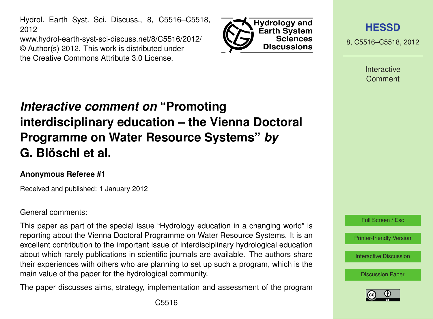Hydrol. Earth Syst. Sci. Discuss., 8, C5516–C5518, 2012

www.hydrol-earth-syst-sci-discuss.net/8/C5516/2012/ © Author(s) 2012. This work is distributed under the Creative Commons Attribute 3.0 License.



**[HESSD](http://www.hydrol-earth-syst-sci-discuss.net)**

8, C5516–C5518, 2012

**Interactive** Comment

# *Interactive comment on* **"Promoting interdisciplinary education – the Vienna Doctoral Programme on Water Resource Systems"** *by* **G. Blöschl et al.**

#### **Anonymous Referee #1**

Received and published: 1 January 2012

#### General comments:

This paper as part of the special issue "Hydrology education in a changing world" is reporting about the Vienna Doctoral Programme on Water Resource Systems. It is an excellent contribution to the important issue of interdisciplinary hydrological education about which rarely publications in scientific journals are available. The authors share their experiences with others who are planning to set up such a program, which is the main value of the paper for the hydrological community.

The paper discusses aims, strategy, implementation and assessment of the program



[Discussion Paper](http://www.hydrol-earth-syst-sci-discuss.net/8/9843/2011/hessd-8-9843-2011.pdf)

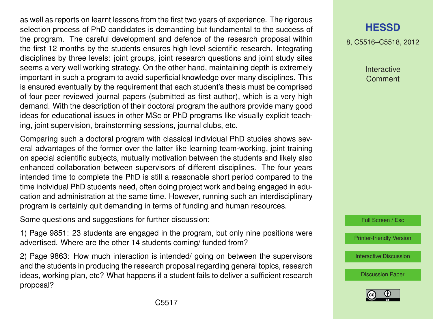as well as reports on learnt lessons from the first two years of experience. The rigorous selection process of PhD candidates is demanding but fundamental to the success of the program. The careful development and defence of the research proposal within the first 12 months by the students ensures high level scientific research. Integrating disciplines by three levels: joint groups, joint research questions and joint study sites seems a very well working strategy. On the other hand, maintaining depth is extremely important in such a program to avoid superficial knowledge over many disciplines. This is ensured eventually by the requirement that each student's thesis must be comprised of four peer reviewed journal papers (submitted as first author), which is a very high demand. With the description of their doctoral program the authors provide many good ideas for educational issues in other MSc or PhD programs like visually explicit teaching, joint supervision, brainstorming sessions, journal clubs, etc.

Comparing such a doctoral program with classical individual PhD studies shows several advantages of the former over the latter like learning team-working, joint training on special scientific subjects, mutually motivation between the students and likely also enhanced collaboration between supervisors of different disciplines. The four years intended time to complete the PhD is still a reasonable short period compared to the time individual PhD students need, often doing project work and being engaged in education and administration at the same time. However, running such an interdisciplinary program is certainly quit demanding in terms of funding and human resources.

Some questions and suggestions for further discussion:

1) Page 9851: 23 students are engaged in the program, but only nine positions were advertised. Where are the other 14 students coming/ funded from?

2) Page 9863: How much interaction is intended/ going on between the supervisors and the students in producing the research proposal regarding general topics, research ideas, working plan, etc? What happens if a student fails to deliver a sufficient research proposal?

## **[HESSD](http://www.hydrol-earth-syst-sci-discuss.net)**

8, C5516–C5518, 2012

Interactive **Comment** 

Full Screen / Esc

[Printer-friendly Version](http://www.hydrol-earth-syst-sci-discuss.net/8/C5516/2012/hessd-8-C5516-2012-print.pdf)

[Interactive Discussion](http://www.hydrol-earth-syst-sci-discuss.net/8/9843/2011/hessd-8-9843-2011-discussion.html)

[Discussion Paper](http://www.hydrol-earth-syst-sci-discuss.net/8/9843/2011/hessd-8-9843-2011.pdf)